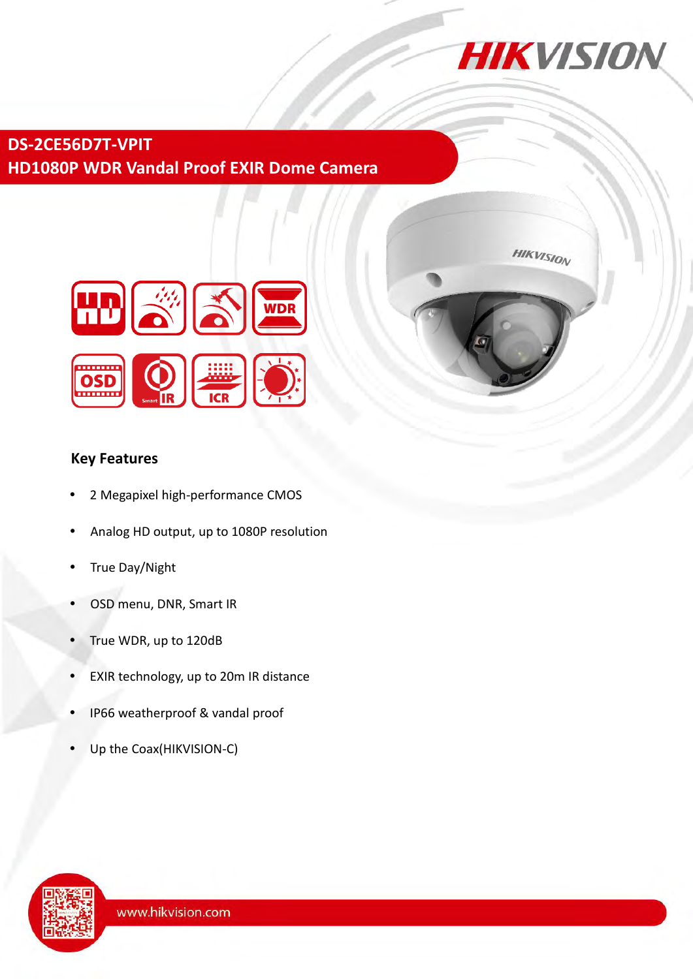

**DS-2CE56D7T-VPIT HD1080P WDR Vandal Proof EXIR Dome Camera**



# **HIKVISION**

## **Key Features**

- 2 Megapixel high-performance CMOS
- Analog HD output, up to 1080P resolution
- True Day/Night
- OSD menu, DNR, Smart IR
- True WDR, up to 120dB
- EXIR technology, up to 20m IR distance
- IP66 weatherproof & vandal proof
- Up the Coax(HIKVISION-C)

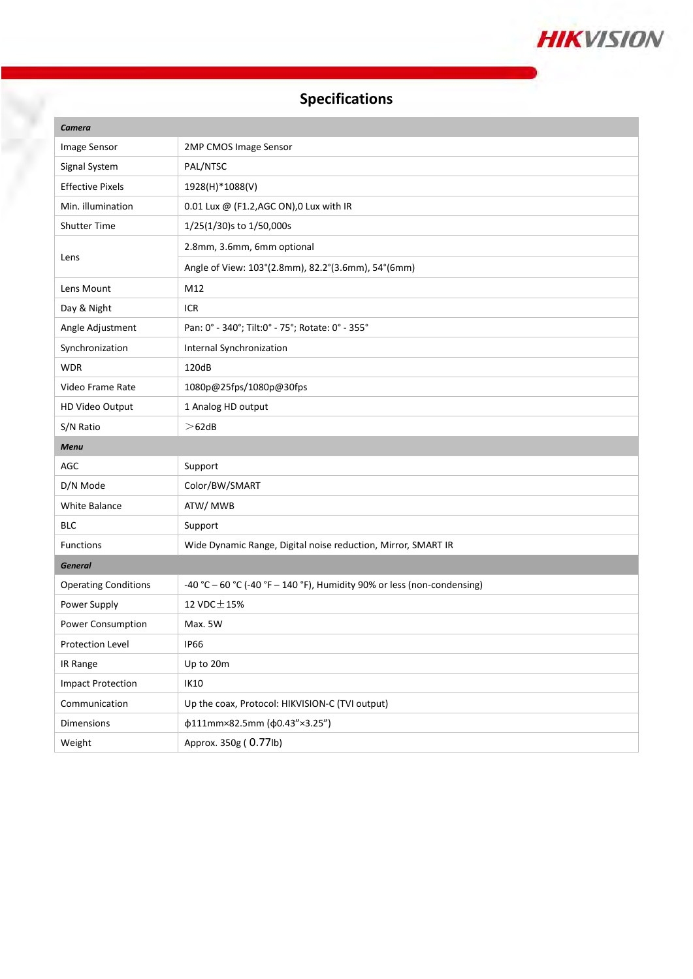

# **Specifications**

Ŗ

| Camera                      |                                                                         |
|-----------------------------|-------------------------------------------------------------------------|
| Image Sensor                | 2MP CMOS Image Sensor                                                   |
| Signal System               | PAL/NTSC                                                                |
| <b>Effective Pixels</b>     | 1928(H)*1088(V)                                                         |
| Min. illumination           | 0.01 Lux @ (F1.2, AGC ON), 0 Lux with IR                                |
| <b>Shutter Time</b>         | 1/25(1/30)s to 1/50,000s                                                |
| Lens                        | 2.8mm, 3.6mm, 6mm optional                                              |
|                             | Angle of View: 103°(2.8mm), 82.2°(3.6mm), 54°(6mm)                      |
| Lens Mount                  | M12                                                                     |
| Day & Night                 | ICR                                                                     |
| Angle Adjustment            | Pan: 0° - 340°; Tilt:0° - 75°; Rotate: 0° - 355°                        |
| Synchronization             | Internal Synchronization                                                |
| <b>WDR</b>                  | 120dB                                                                   |
| Video Frame Rate            | 1080p@25fps/1080p@30fps                                                 |
| HD Video Output             | 1 Analog HD output                                                      |
| S/N Ratio                   | >62dB                                                                   |
|                             |                                                                         |
| <b>Menu</b>                 |                                                                         |
| <b>AGC</b>                  | Support                                                                 |
| D/N Mode                    | Color/BW/SMART                                                          |
| <b>White Balance</b>        | ATW/ MWB                                                                |
| <b>BLC</b>                  | Support                                                                 |
| <b>Functions</b>            | Wide Dynamic Range, Digital noise reduction, Mirror, SMART IR           |
| <b>General</b>              |                                                                         |
| <b>Operating Conditions</b> | -40 °C - 60 °C (-40 °F - 140 °F), Humidity 90% or less (non-condensing) |
| Power Supply                | 12 VDC $\pm$ 15%                                                        |
| Power Consumption           | Max. 5W                                                                 |
| Protection Level            | IP66                                                                    |
| IR Range                    | Up to 20m                                                               |
| <b>Impact Protection</b>    | IK10                                                                    |
| Communication               | Up the coax, Protocol: HIKVISION-C (TVI output)                         |
| Dimensions                  | φ111mm×82.5mm (φ0.43"×3.25")                                            |